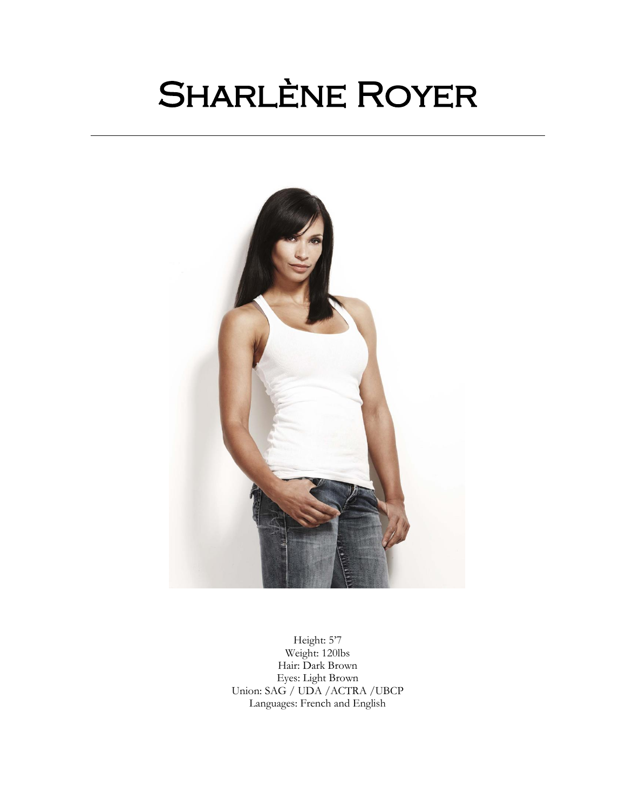# Sharlène Royer

֧֪֚֞֝֬֝֬֝֬֝֬֝֬֝֬֝



Height: 5'7 Weight: 120lbs Hair: Dark Brown Eyes: Light Brown Union: SAG / UDA /ACTRA /UBCP Languages: French and English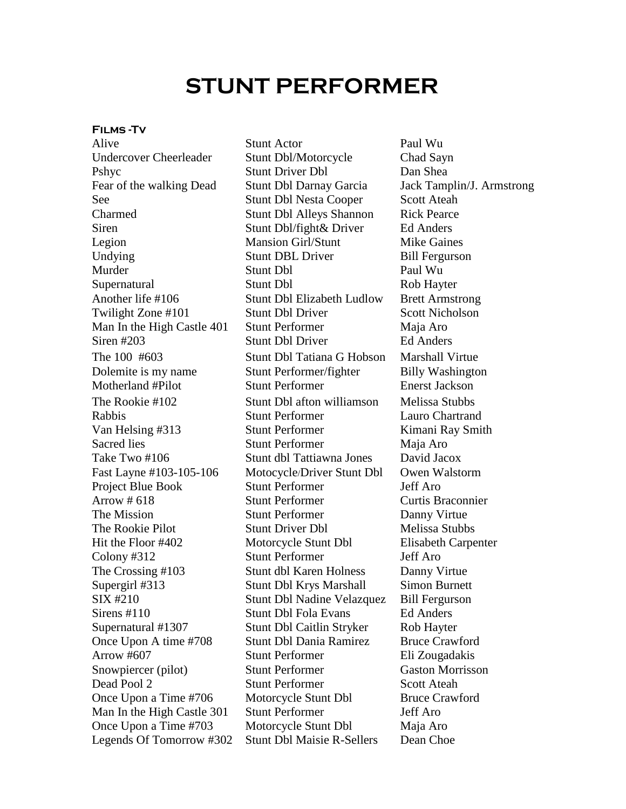# **STUNT PERFORMER**

### **Films -Tv**

Take Two #106 Stunt dbl Tattiawna Jones Legends Of Tomorrow #302 Stunt Dbl Maisie R-Sellers Dean Choe

Alive Stunt Actor Paul Wu Undercover Cheerleader Stunt Dbl/Motorcycle Chad Sayn Pshyc Stunt Driver Dbl Dan Shea Fear of the walking Dead Stunt Dbl Darnay Garcia Jack Tamplin/J. Armstrong See Stunt Dbl Nesta Cooper Scott Ateah Charmed Stunt Dbl Alleys Shannon Rick Pearce Siren Stunt Dbl/fight& Driver Ed Anders Legion Mansion Girl/Stunt Mike Gaines Undying Stunt DBL Driver Bill Fergurson Murder Stunt Dbl Paul Wu Supernatural Stunt Dbl Rob Hayter Another life #106 Stunt Dbl Elizabeth Ludlow Brett Armstrong Twilight Zone #101 Stunt Dbl Driver Scott Nicholson Man In the High Castle 401 Stunt Performer Maja Aro Siren #203 Stunt Dbl Driver Ed Anders The 100 #603 Stunt Dbl Tatiana G Hobson Marshall Virtue Dolemite is my name Stunt Performer/fighter Billy Washington Motherland #Pilot Stunt Performer Enerst Jackson The Rookie #102 Stunt Dbl afton williamson Melissa Stubbs Rabbis Stunt Performer Lauro Chartrand Van Helsing #313 Stunt Performer Kimani Ray Smith Sacred lies Stunt Performer Maja Aro<br>
Stunt dbl Tattiawna Jones David Jacox Fast Layne #103-105-106 Motocycle/Driver Stunt Dbl Owen Walstorm Project Blue Book Stunt Performer Jeff Aro Arrow # 618 Stunt Performer Curtis Braconnier The Mission Stunt Performer Danny Virtue The Rookie Pilot Stunt Driver Dbl Melissa Stubbs Hit the Floor #402 Motorcycle Stunt Dbl Elisabeth Carpenter Colony #312 Stunt Performer Jeff Aro The Crossing #103 Stunt dbl Karen Holness Danny Virtue Supergirl #313 Stunt Dbl Krys Marshall Simon Burnett SIX #210 Stunt Dbl Nadine Velazquez Bill Fergurson Sirens #110 Stunt Dbl Fola Evans Ed Anders Supernatural #1307 Stunt Dbl Caitlin Stryker Rob Hayter Once Upon A time #708 Stunt Dbl Dania Ramirez Bruce Crawford Arrow #607 Stunt Performer Eli Zougadakis Snowpiercer (pilot) Stunt Performer Gaston Morrisson Dead Pool 2 Stunt Performer Scott Ateah Once Upon a Time #706 Motorcycle Stunt Dbl Bruce Crawford Man In the High Castle 301 Stunt Performer Jeff Aro Once Upon a Time #703 Motorcycle Stunt Dbl Maja Aro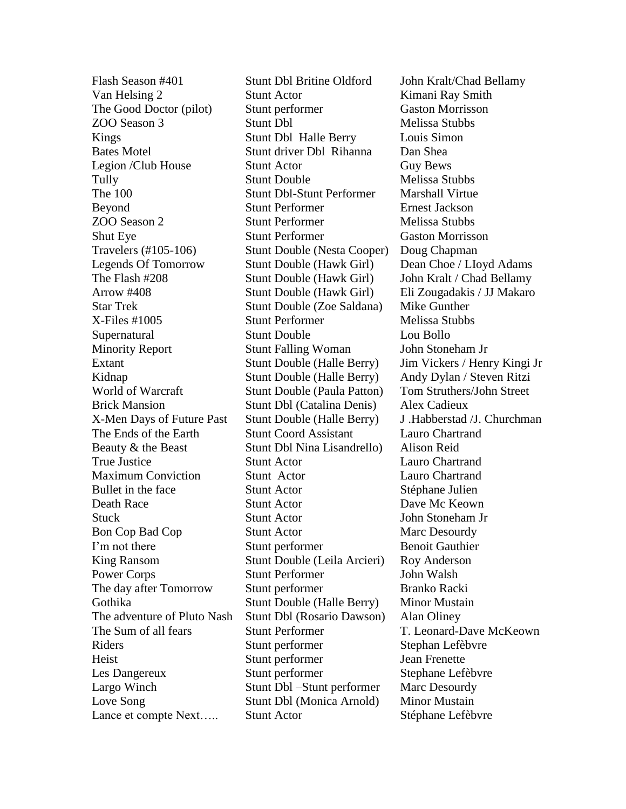Van Helsing 2 Stunt Actor **Kimani Ray Smith** The Good Doctor (pilot) Stunt performer Gaston Morrisson ZOO Season 3 Stunt Dbl Melissa Stubbs Kings Stunt Dbl Halle Berry Louis Simon Bates Motel Stunt driver Dbl Rihanna Dan Shea Legion /Club House Stunt Actor Guy Bews Tully Stunt Double Melissa Stubbs The 100 Stunt Dbl-Stunt Performer Marshall Virtue Beyond Stunt Performer Ernest Jackson ZOO Season 2 Stunt Performer Melissa Stubbs Shut Eye Stunt Performer Gaston Morrisson Travelers (#105-106) Stunt Double (Nesta Cooper) Doug Chapman Legends Of Tomorrow Stunt Double (Hawk Girl) Dean Choe / Lloyd Adams The Flash #208 Stunt Double (Hawk Girl) John Kralt / Chad Bellamy Arrow #408 Stunt Double (Hawk Girl) Eli Zougadakis / JJ Makaro Star Trek Stunt Double (Zoe Saldana) Mike Gunther X-Files #1005 Stunt Performer Melissa Stubbs Supernatural Stunt Double Lou Bollo Minority Report Stunt Falling Woman John Stoneham Jr Extant Stunt Double (Halle Berry) Jim Vickers / Henry Kingi Jr Kidnap Stunt Double (Halle Berry) Andy Dylan / Steven Ritzi World of Warcraft Stunt Double (Paula Patton) Tom Struthers/John Street Brick Mansion Stunt Dbl (Catalina Denis) Alex Cadieux X-Men Days of Future Past Stunt Double (Halle Berry) J. Habberstad / J. Churchman The Ends of the Earth Stunt Coord Assistant Lauro Chartrand Beauty & the Beast Stunt Dbl Nina Lisandrello) Alison Reid True Justice Stunt Actor Lauro Chartrand Maximum Conviction Stunt Actor Lauro Chartrand Bullet in the face Stunt Actor Stéphane Julien Death Race Stunt Actor Dave Mc Keown Stuck Stunt Actor John Stoneham Jr Bon Cop Bad Cop Stunt Actor Marc Desourdy I'm not there Stunt performer Benoit Gauthier King Ransom Stunt Double (Leila Arcieri) Roy Anderson Power Corps Stunt Performer John Walsh The day after Tomorrow Stunt performer Branko Racki Gothika Stunt Double (Halle Berry) Minor Mustain The adventure of Pluto Nash Stunt Dbl (Rosario Dawson) Alan Oliney The Sum of all fears Stunt Performer T. Leonard-Dave McKeown Riders Stunt performer Stephan Lefèbvre Heist Stunt performer Jean Frenette Les Dangereux Stunt performer Stephane Lefèbvre Largo Winch Stunt Dbl –Stunt performer Marc Desourdy Love Song Stunt Dbl (Monica Arnold) Minor Mustain Lance et compte Next….. Stunt Actor Stéphane Lefèbvre

Flash Season #401 Stunt Dbl Britine Oldford John Kralt/Chad Bellamy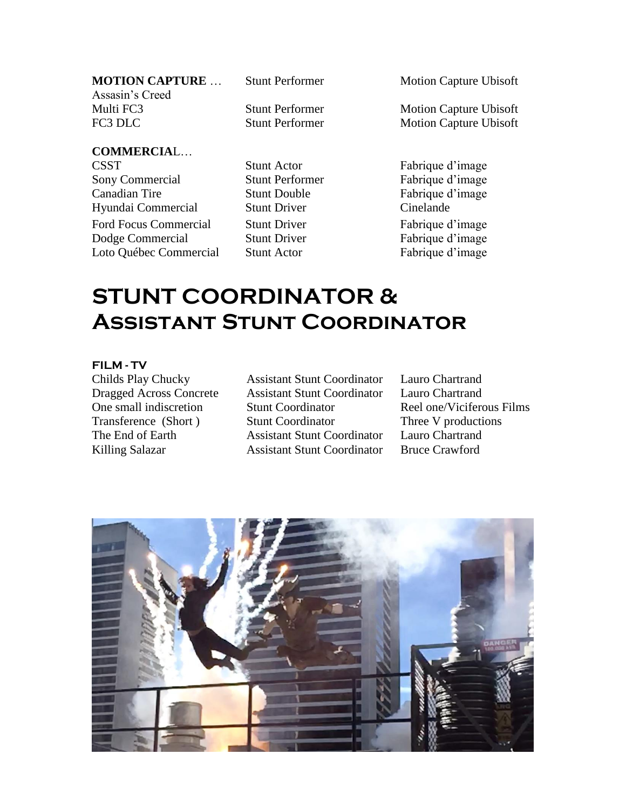| <b>MOTION CAPTURE</b> |
|-----------------------|
| Assasin's Creed       |
| Multi FC3             |
| FC3 DLC               |

**COMMERCIA**L…

CSST Stunt Actor Fabrique d'image Sony Commercial Stunt Performer Fabrique d'image Canadian Tire Stunt Double Fabrique d'image Hyundai Commercial Stunt Driver Cinelande Ford Focus Commercial Stunt Driver Fabrique d'image Dodge Commercial Stunt Driver Fabrique d'image Loto Québec Commercial Stunt Actor Fabrique d'image

Stunt Performer Motion Capture Ubisoft

Stunt Performer Motion Capture Ubisoft Stunt Performer Motion Capture Ubisoft

# **STUNT COORDINATOR & Assistant Stunt Coordinator**

### **FILM - TV**

Transference (Short ) The End of Earth

Childs Play Chucky Assistant Stunt Coordinator Lauro Chartrand Dragged Across Concrete Assistant Stunt Coordinator Lauro Chartrand One small indiscretion Stunt Coordinator Reel one/Viciferous Films Stunt Coordinator Assistant Stunt Coordinator Killing Salazar **Assistant Stunt Coordinator** Bruce Crawford

Three V productions Lauro Chartrand

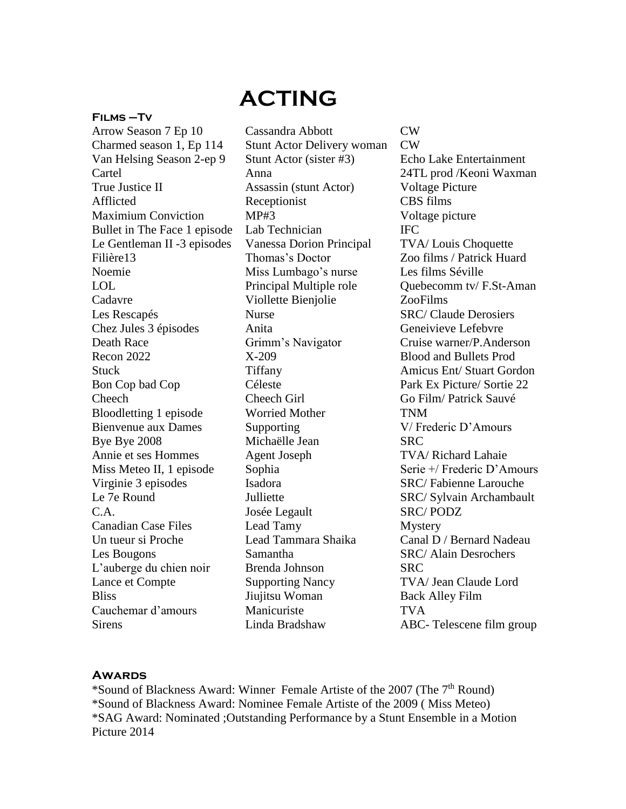# **ACTING**

#### **Films –Tv**

Arrow Season 7 Ep 10 Cassandra Abbott CW Charmed season 1, Ep 114 Stunt Actor Delivery woman CW Van Helsing Season 2-ep 9 Stunt Actor (sister #3) Echo Lake Entertainment True Justice II Assassin (stunt Actor) Voltage Picture Afflicted Receptionist CBS films Maximium Conviction MP#3 Voltage picture Bullet in The Face 1 episode Lab Technician IFC Le Gentleman II -3 episodes Vanessa Dorion Principal TVA/ Louis Choquette Filière13 Thomas's Doctor Zoo films / Patrick Huard Noemie Miss Lumbago's nurse Les films Séville Cadavre Viollette Bienjolie ZooFilms Les Rescapés Nurse SRC/ Claude Derosiers Chez Jules 3 épisodes Anita Geneivieve Lefebvre Death Race Grimm's Navigator Cruise warner/P.Anderson Recon 2022 X-209 Blood and Bullets Prod Bon Cop bad Cop Céleste Park Ex Picture/ Sortie 22 Cheech Cheech Girl Go Film/ Patrick Sauvé Bloodletting 1 episode Worried Mother TNM Bienvenue aux Dames Supporting V/ Frederic D'Amours Bye Bye 2008 Michaëlle Jean SRC Annie et ses Hommes Agent Joseph TVA/ Richard Lahaie Virginie 3 episodes Isadora SRC/ Fabienne Larouche C.A. Josée Legault SRC/ PODZ Canadian Case Files Lead Tamy Mystery Un tueur si Proche Lead Tammara Shaika Canal D / Bernard Nadeau Les Bougons Samantha SRC/ Alain Desrochers L'auberge du chien noir Brenda Johnson SRC Lance et Compte Supporting Nancy TVA/ Jean Claude Lord Bliss Jiujitsu Woman Back Alley Film Cauchemar d'amours Manicuriste TVA Sirens Linda Bradshaw ABC- Telescene film group

Cartel Anna 24TL prod /Keoni Waxman LOL Principal Multiple role Quebecomm tv/ F.St-Aman Stuck Tiffany Amicus Ent/ Stuart Gordon Miss Meteo II, 1 episode Sophia Serie +/ Frederic D'Amours Le 7e Round Julliette SRC/ Sylvain Archambault

# **Awards**

\*Sound of Blackness Award: Winner Female Artiste of the 2007 (The 7th Round) \*Sound of Blackness Award: Nominee Female Artiste of the 2009 ( Miss Meteo) \*SAG Award: Nominated ;Outstanding Performance by a Stunt Ensemble in a Motion Picture 2014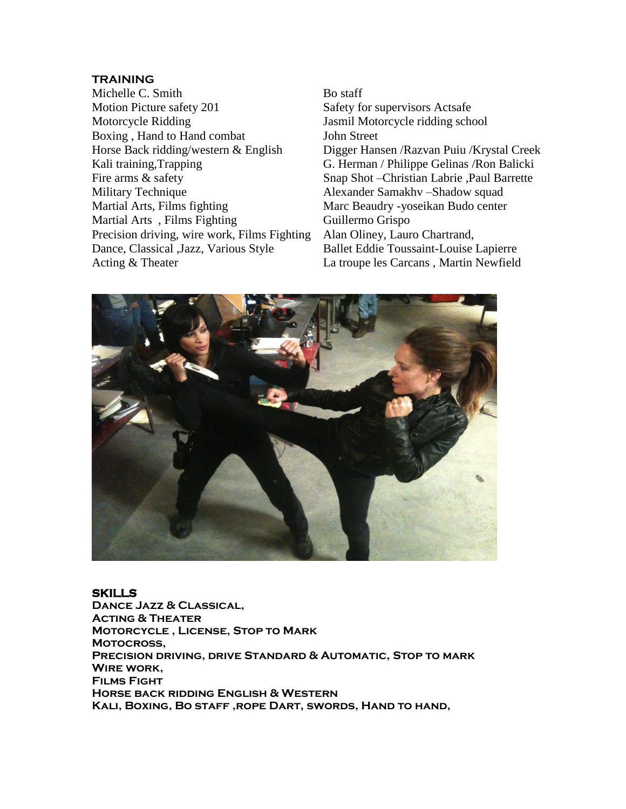# **TRAINING**

Michelle C. Smith Bo staff Motion Picture safety 201 Safety for supervisors Actsafe Motorcycle Ridding Jasmil Motorcycle ridding school Boxing , Hand to Hand combat Horse Back ridding/western & English Kali training, Trapping G. Herman / Philippe Gelinas / Ron Balicki Fire arms & safety Snap Shot – Christian Labrie , Paul Barrette Military Technique **Alexander Samakhy** –Shadow squad Martial Arts, Films fighting Marc Beaudry -yoseikan Budo center Martial Arts, Films Fighting Guillermo Grispo Precision driving, wire work, Films Fighting Alan Oliney, Lauro Chartrand, Dance, Classical ,Jazz, Various Style Ballet Eddie Toussaint-Louise Lapierre

John Street Digger Hansen /Razvan Puiu /Krystal Creek Acting & Theater La troupe les Carcans, Martin Newfield



#### **SKILLS**

**Dance Jazz & Classical, Acting & Theater Motorcycle , License, Stop to Mark Motocross, Precision driving, drive Standard & Automatic, Stop to mark Wire work, Films Fight Horse back ridding English & Western Kali, Boxing, Bo staff ,rope Dart, swords, Hand to hand,**